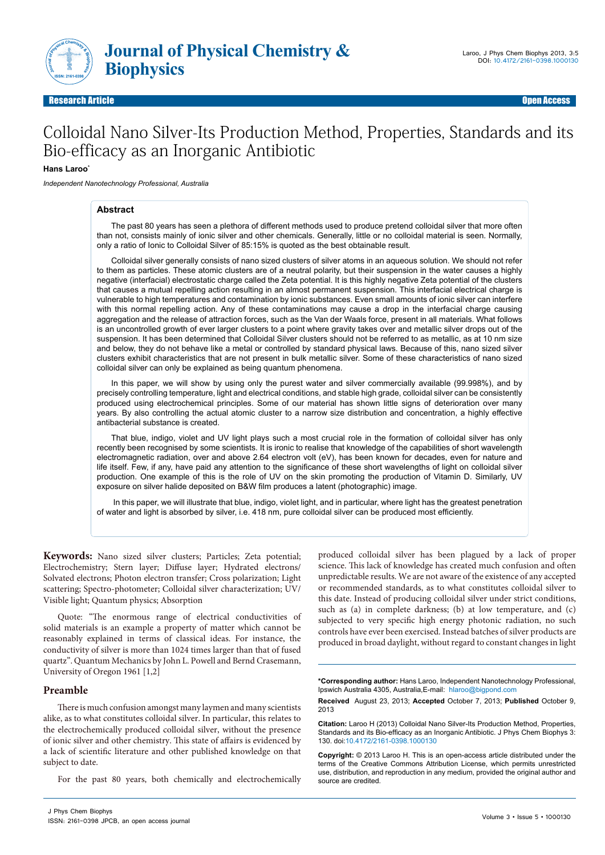

Research Article Open Access **Contract Contract Contract Contract Contract Contract Contract Contract Contract Contract Contract Contract Contract Contract Contract Contract Contract Contract Contract Contract Contract Con** Research Article Open Access

# Colloidal Nano Silver-Its Production Method, Properties, Standards and its Bio-efficacy as an Inorganic Antibiotic

#### **Hans Laroo\***

*Independent Nanotechnology Professional, Australia*

#### **Abstract**

The past 80 years has seen a plethora of different methods used to produce pretend colloidal silver that more often than not, consists mainly of ionic silver and other chemicals. Generally, little or no colloidal material is seen. Normally, only a ratio of Ionic to Colloidal Silver of 85:15% is quoted as the best obtainable result.

Colloidal silver generally consists of nano sized clusters of silver atoms in an aqueous solution. We should not refer to them as particles. These atomic clusters are of a neutral polarity, but their suspension in the water causes a highly negative (interfacial) electrostatic charge called the Zeta potential. It is this highly negative Zeta potential of the clusters that causes a mutual repelling action resulting in an almost permanent suspension. This interfacial electrical charge is vulnerable to high temperatures and contamination by ionic substances. Even small amounts of ionic silver can interfere with this normal repelling action. Any of these contaminations may cause a drop in the interfacial charge causing aggregation and the release of attraction forces, such as the Van der Waals force, present in all materials. What follows is an uncontrolled growth of ever larger clusters to a point where gravity takes over and metallic silver drops out of the suspension. It has been determined that Colloidal Silver clusters should not be referred to as metallic, as at 10 nm size and below, they do not behave like a metal or controlled by standard physical laws. Because of this, nano sized silver clusters exhibit characteristics that are not present in bulk metallic silver. Some of these characteristics of nano sized colloidal silver can only be explained as being quantum phenomena.

In this paper, we will show by using only the purest water and silver commercially available (99.998%), and by precisely controlling temperature, light and electrical conditions, and stable high grade, colloidal silver can be consistently produced using electrochemical principles. Some of our material has shown little signs of deterioration over many years. By also controlling the actual atomic cluster to a narrow size distribution and concentration, a highly effective antibacterial substance is created.

That blue, indigo, violet and UV light plays such a most crucial role in the formation of colloidal silver has only recently been recognised by some scientists. It is ironic to realise that knowledge of the capabilities of short wavelength electromagnetic radiation, over and above 2.64 electron volt (eV), has been known for decades, even for nature and life itself. Few, if any, have paid any attention to the significance of these short wavelengths of light on colloidal silver production. One example of this is the role of UV on the skin promoting the production of Vitamin D. Similarly, UV exposure on silver halide deposited on B&W film produces a latent (photographic) image.

 In this paper, we will illustrate that blue, indigo, violet light, and in particular, where light has the greatest penetration of water and light is absorbed by silver, i.e. 418 nm, pure colloidal silver can be produced most efficiently.

**Keywords:** Nano sized silver clusters; Particles; Zeta potential; Electrochemistry; Stern layer; Diffuse layer; Hydrated electrons/ Solvated electrons; Photon electron transfer; Cross polarization; Light scattering; Spectro-photometer; Colloidal silver characterization; UV/ Visible light; Quantum physics; Absorption

Quote: "The enormous range of electrical conductivities of solid materials is an example a property of matter which cannot be reasonably explained in terms of classical ideas. For instance, the conductivity of silver is more than 1024 times larger than that of fused quartz". Quantum Mechanics by John L. Powell and Bernd Crasemann, University of Oregon 1961 [1,2]

## **Preamble**

There is much confusion amongst many laymen and many scientists alike, as to what constitutes colloidal silver. In particular, this relates to the electrochemically produced colloidal silver, without the presence of ionic silver and other chemistry. This state of affairs is evidenced by a lack of scientific literature and other published knowledge on that subject to date.

For the past 80 years, both chemically and electrochemically

J Phys Chem Biophys ISSN: 2161-0398 JPCB, an open access journal produced colloidal silver has been plagued by a lack of proper science. This lack of knowledge has created much confusion and often unpredictable results. We are not aware of the existence of any accepted or recommended standards, as to what constitutes colloidal silver to this date. Instead of producing colloidal silver under strict conditions, such as (a) in complete darkness; (b) at low temperature, and (c) subjected to very specific high energy photonic radiation, no such controls have ever been exercised. Instead batches of silver products are produced in broad daylight, without regard to constant changes in light

**Received** August 23, 2013; **Accepted** October 7, 2013; **Published** October 9, 2013

**Citation:** Laroo H (2013) Colloidal Nano Silver-Its Production Method, Properties, Standards and its Bio-efficacy as an Inorganic Antibiotic. J Phys Chem Biophys 3: 130. doi:10.4172/2161-0398.1000130

**Copyright:** © 2013 Laroo H. This is an open-access article distributed under the terms of the Creative Commons Attribution License, which permits unrestricted use, distribution, and reproduction in any medium, provided the original author and source are credited.

**<sup>\*</sup>Corresponding author:** Hans Laroo, Independent Nanotechnology Professional, Ipswich Australia 4305, Australia,E-mail: hlaroo@bigpond.com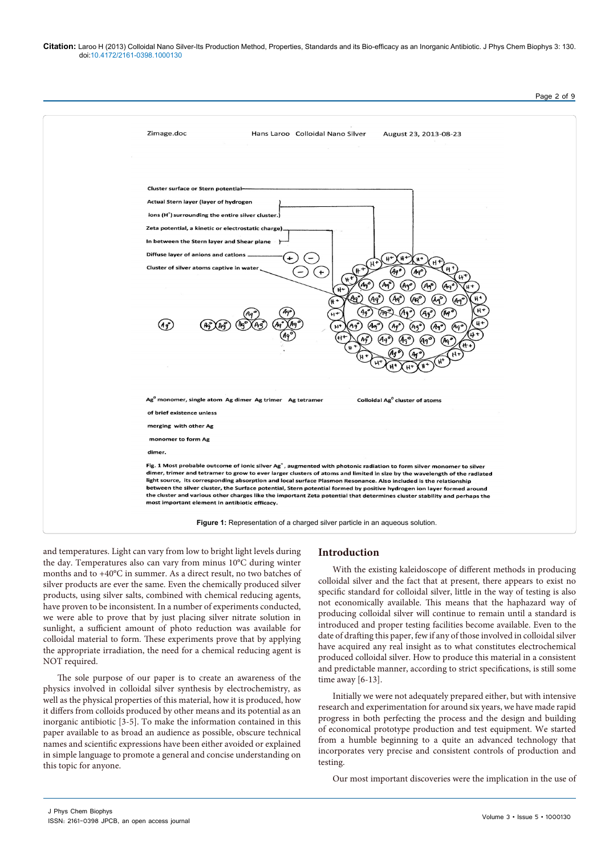**Citation:** Laroo H (2013) Colloidal Nano Silver-Its Production Method, Properties, Standards and its Bio-efficacy as an Inorganic Antibiotic. J Phys Chem Biophys 3: 130. doi:10.4172/2161-0398.1000130



and temperatures. Light can vary from low to bright light levels during the day. Temperatures also can vary from minus 10°C during winter months and to +40°C in summer. As a direct result, no two batches of silver products are ever the same. Even the chemically produced silver products, using silver salts, combined with chemical reducing agents, have proven to be inconsistent. In a number of experiments conducted, we were able to prove that by just placing silver nitrate solution in sunlight, a sufficient amount of photo reduction was available for colloidal material to form. These experiments prove that by applying the appropriate irradiation, the need for a chemical reducing agent is NOT required.

The sole purpose of our paper is to create an awareness of the physics involved in colloidal silver synthesis by electrochemistry, as well as the physical properties of this material, how it is produced, how it differs from colloids produced by other means and its potential as an inorganic antibiotic [3-5]. To make the information contained in this paper available to as broad an audience as possible, obscure technical names and scientific expressions have been either avoided or explained in simple language to promote a general and concise understanding on this topic for anyone.

#### **Introduction**

With the existing kaleidoscope of different methods in producing colloidal silver and the fact that at present, there appears to exist no specific standard for colloidal silver, little in the way of testing is also not economically available. This means that the haphazard way of producing colloidal silver will continue to remain until a standard is introduced and proper testing facilities become available. Even to the date of drafting this paper, few if any of those involved in colloidal silver have acquired any real insight as to what constitutes electrochemical produced colloidal silver. How to produce this material in a consistent and predictable manner, according to strict specifications, is still some time away [6-13].

Initially we were not adequately prepared either, but with intensive research and experimentation for around six years, we have made rapid progress in both perfecting the process and the design and building of economical prototype production and test equipment. We started from a humble beginning to a quite an advanced technology that incorporates very precise and consistent controls of production and testing.

Our most important discoveries were the implication in the use of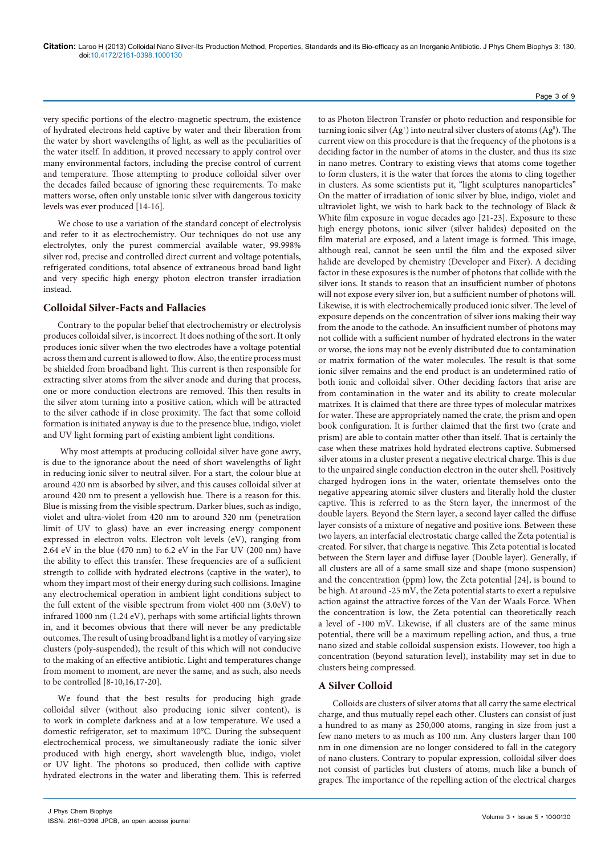very specific portions of the electro-magnetic spectrum, the existence of hydrated electrons held captive by water and their liberation from the water by short wavelengths of light, as well as the peculiarities of the water itself. In addition, it proved necessary to apply control over many environmental factors, including the precise control of current and temperature. Those attempting to produce colloidal silver over the decades failed because of ignoring these requirements. To make matters worse, often only unstable ionic silver with dangerous toxicity levels was ever produced [14-16].

We chose to use a variation of the standard concept of electrolysis and refer to it as electrochemistry. Our techniques do not use any electrolytes, only the purest commercial available water, 99.998% silver rod, precise and controlled direct current and voltage potentials, refrigerated conditions, total absence of extraneous broad band light and very specific high energy photon electron transfer irradiation instead.

## **Colloidal Silver-Facts and Fallacies**

Contrary to the popular belief that electrochemistry or electrolysis produces colloidal silver, is incorrect. It does nothing of the sort. It only produces ionic silver when the two electrodes have a voltage potential across them and current is allowed to flow. Also, the entire process must be shielded from broadband light. This current is then responsible for extracting silver atoms from the silver anode and during that process, one or more conduction electrons are removed. This then results in the silver atom turning into a positive cation, which will be attracted to the silver cathode if in close proximity. The fact that some colloid formation is initiated anyway is due to the presence blue, indigo, violet and UV light forming part of existing ambient light conditions.

 Why most attempts at producing colloidal silver have gone awry, is due to the ignorance about the need of short wavelengths of light in reducing ionic silver to neutral silver. For a start, the colour blue at around 420 nm is absorbed by silver, and this causes colloidal silver at around 420 nm to present a yellowish hue. There is a reason for this. Blue is missing from the visible spectrum. Darker blues, such as indigo, violet and ultra-violet from 420 nm to around 320 nm (penetration limit of UV to glass) have an ever increasing energy component expressed in electron volts. Electron volt levels (eV), ranging from 2.64 eV in the blue (470 nm) to 6.2 eV in the Far UV (200 nm) have the ability to effect this transfer. These frequencies are of a sufficient strength to collide with hydrated electrons (captive in the water), to whom they impart most of their energy during such collisions. Imagine any electrochemical operation in ambient light conditions subject to the full extent of the visible spectrum from violet 400 nm (3.0eV) to infrared 1000 nm (1.24 eV), perhaps with some artificial lights thrown in, and it becomes obvious that there will never be any predictable outcomes. The result of using broadband light is a motley of varying size clusters (poly-suspended), the result of this which will not conducive to the making of an effective antibiotic. Light and temperatures change from moment to moment, are never the same, and as such, also needs to be controlled [8-10,16,17-20].

We found that the best results for producing high grade colloidal silver (without also producing ionic silver content), is to work in complete darkness and at a low temperature. We used a domestic refrigerator, set to maximum 10°C. During the subsequent electrochemical process, we simultaneously radiate the ionic silver produced with high energy, short wavelength blue, indigo, violet or UV light. The photons so produced, then collide with captive hydrated electrons in the water and liberating them. This is referred

to as Photon Electron Transfer or photo reduction and responsible for turning ionic silver  $(Ag^+)$  into neutral silver clusters of atoms  $(Ag^0)$ . The current view on this procedure is that the frequency of the photons is a deciding factor in the number of atoms in the cluster, and thus its size in nano metres. Contrary to existing views that atoms come together to form clusters, it is the water that forces the atoms to cling together in clusters. As some scientists put it, "light sculptures nanoparticles" On the matter of irradiation of ionic silver by blue, indigo, violet and ultraviolet light, we wish to hark back to the technology of Black & White film exposure in vogue decades ago [21-23]. Exposure to these high energy photons, ionic silver (silver halides) deposited on the film material are exposed, and a latent image is formed. This image, although real, cannot be seen until the film and the exposed silver halide are developed by chemistry (Developer and Fixer). A deciding factor in these exposures is the number of photons that collide with the silver ions. It stands to reason that an insufficient number of photons will not expose every silver ion, but a sufficient number of photons will. Likewise, it is with electrochemically produced ionic silver. The level of exposure depends on the concentration of silver ions making their way from the anode to the cathode. An insufficient number of photons may not collide with a sufficient number of hydrated electrons in the water or worse, the ions may not be evenly distributed due to contamination or matrix formation of the water molecules. The result is that some ionic silver remains and the end product is an undetermined ratio of both ionic and colloidal silver. Other deciding factors that arise are from contamination in the water and its ability to create molecular matrixes. It is claimed that there are three types of molecular matrixes for water. These are appropriately named the crate, the prism and open book configuration. It is further claimed that the first two (crate and prism) are able to contain matter other than itself. That is certainly the case when these matrixes hold hydrated electrons captive. Submersed silver atoms in a cluster present a negative electrical charge. This is due to the unpaired single conduction electron in the outer shell. Positively charged hydrogen ions in the water, orientate themselves onto the negative appearing atomic silver clusters and literally hold the cluster captive. This is referred to as the Stern layer, the innermost of the double layers. Beyond the Stern layer, a second layer called the diffuse layer consists of a mixture of negative and positive ions. Between these two layers, an interfacial electrostatic charge called the Zeta potential is created. For silver, that charge is negative. This Zeta potential is located between the Stern layer and diffuse layer (Double layer). Generally, if all clusters are all of a same small size and shape (mono suspension) and the concentration (ppm) low, the Zeta potential [24], is bound to be high. At around -25 mV, the Zeta potential starts to exert a repulsive action against the attractive forces of the Van der Waals Force. When the concentration is low, the Zeta potential can theoretically reach a level of -100 mV. Likewise, if all clusters are of the same minus potential, there will be a maximum repelling action, and thus, a true nano sized and stable colloidal suspension exists. However, too high a concentration (beyond saturation level), instability may set in due to clusters being compressed.

# **A Silver Colloid**

Colloids are clusters of silver atoms that all carry the same electrical charge, and thus mutually repel each other. Clusters can consist of just a hundred to as many as 250,000 atoms, ranging in size from just a few nano meters to as much as 100 nm. Any clusters larger than 100 nm in one dimension are no longer considered to fall in the category of nano clusters. Contrary to popular expression, colloidal silver does not consist of particles but clusters of atoms, much like a bunch of grapes. The importance of the repelling action of the electrical charges

#### Page 3 of 9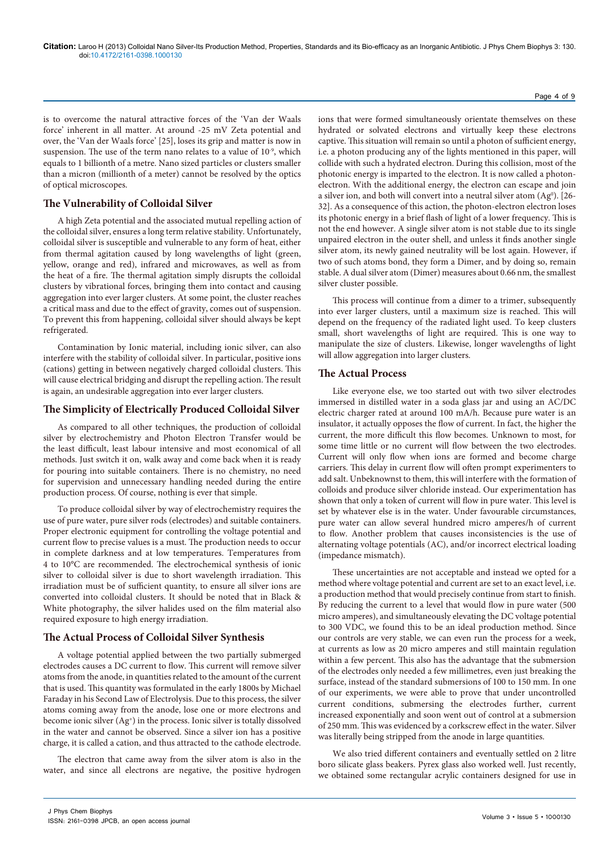## Page 4 of 9

is to overcome the natural attractive forces of the 'Van der Waals force' inherent in all matter. At around -25 mV Zeta potential and over, the 'Van der Waals force' [25], loses its grip and matter is now in suspension. The use of the term nano relates to a value of  $10^{-9}$ , which equals to 1 billionth of a metre. Nano sized particles or clusters smaller than a micron (millionth of a meter) cannot be resolved by the optics of optical microscopes.

## **The Vulnerability of Colloidal Silver**

A high Zeta potential and the associated mutual repelling action of the colloidal silver, ensures a long term relative stability. Unfortunately, colloidal silver is susceptible and vulnerable to any form of heat, either from thermal agitation caused by long wavelengths of light (green, yellow, orange and red), infrared and microwaves, as well as from the heat of a fire. The thermal agitation simply disrupts the colloidal clusters by vibrational forces, bringing them into contact and causing aggregation into ever larger clusters. At some point, the cluster reaches a critical mass and due to the effect of gravity, comes out of suspension. To prevent this from happening, colloidal silver should always be kept refrigerated.

Contamination by Ionic material, including ionic silver, can also interfere with the stability of colloidal silver. In particular, positive ions (cations) getting in between negatively charged colloidal clusters. This will cause electrical bridging and disrupt the repelling action. The result is again, an undesirable aggregation into ever larger clusters.

## **The Simplicity of Electrically Produced Colloidal Silver**

As compared to all other techniques, the production of colloidal silver by electrochemistry and Photon Electron Transfer would be the least difficult, least labour intensive and most economical of all methods. Just switch it on, walk away and come back when it is ready for pouring into suitable containers. There is no chemistry, no need for supervision and unnecessary handling needed during the entire production process. Of course, nothing is ever that simple.

To produce colloidal silver by way of electrochemistry requires the use of pure water, pure silver rods (electrodes) and suitable containers. Proper electronic equipment for controlling the voltage potential and current flow to precise values is a must. The production needs to occur in complete darkness and at low temperatures. Temperatures from 4 to 10°C are recommended. The electrochemical synthesis of ionic silver to colloidal silver is due to short wavelength irradiation. This irradiation must be of sufficient quantity, to ensure all silver ions are converted into colloidal clusters. It should be noted that in Black & White photography, the silver halides used on the film material also required exposure to high energy irradiation.

## **The Actual Process of Colloidal Silver Synthesis**

A voltage potential applied between the two partially submerged electrodes causes a DC current to flow. This current will remove silver atoms from the anode, in quantities related to the amount of the current that is used. This quantity was formulated in the early 1800s by Michael Faraday in his Second Law of Electrolysis. Due to this process, the silver atoms coming away from the anode, lose one or more electrons and become ionic silver (Ag+) in the process. Ionic silver is totally dissolved in the water and cannot be observed. Since a silver ion has a positive charge, it is called a cation, and thus attracted to the cathode electrode.

The electron that came away from the silver atom is also in the water, and since all electrons are negative, the positive hydrogen

ions that were formed simultaneously orientate themselves on these hydrated or solvated electrons and virtually keep these electrons captive. This situation will remain so until a photon of sufficient energy, i.e. a photon producing any of the lights mentioned in this paper, will collide with such a hydrated electron. During this collision, most of the photonic energy is imparted to the electron. It is now called a photonelectron. With the additional energy, the electron can escape and join a silver ion, and both will convert into a neutral silver atom  $(Ag^0)$ . [26-32]. As a consequence of this action, the photon-electron electron loses its photonic energy in a brief flash of light of a lower frequency. This is not the end however. A single silver atom is not stable due to its single unpaired electron in the outer shell, and unless it finds another single silver atom, its newly gained neutrality will be lost again. However, if two of such atoms bond, they form a Dimer, and by doing so, remain stable. A dual silver atom (Dimer) measures about 0.66 nm, the smallest silver cluster possible.

This process will continue from a dimer to a trimer, subsequently into ever larger clusters, until a maximum size is reached. This will depend on the frequency of the radiated light used. To keep clusters small, short wavelengths of light are required. This is one way to manipulate the size of clusters. Likewise, longer wavelengths of light will allow aggregation into larger clusters.

## **The Actual Process**

Like everyone else, we too started out with two silver electrodes immersed in distilled water in a soda glass jar and using an AC/DC electric charger rated at around 100 mA/h. Because pure water is an insulator, it actually opposes the flow of current. In fact, the higher the current, the more difficult this flow becomes. Unknown to most, for some time little or no current will flow between the two electrodes. Current will only flow when ions are formed and become charge carriers. This delay in current flow will often prompt experimenters to add salt. Unbeknownst to them, this will interfere with the formation of colloids and produce silver chloride instead. Our experimentation has shown that only a token of current will flow in pure water. This level is set by whatever else is in the water. Under favourable circumstances, pure water can allow several hundred micro amperes/h of current to flow. Another problem that causes inconsistencies is the use of alternating voltage potentials (AC), and/or incorrect electrical loading (impedance mismatch).

These uncertainties are not acceptable and instead we opted for a method where voltage potential and current are set to an exact level, i.e. a production method that would precisely continue from start to finish. By reducing the current to a level that would flow in pure water (500 micro amperes), and simultaneously elevating the DC voltage potential to 300 VDC, we found this to be an ideal production method. Since our controls are very stable, we can even run the process for a week, at currents as low as 20 micro amperes and still maintain regulation within a few percent. This also has the advantage that the submersion of the electrodes only needed a few millimetres, even just breaking the surface, instead of the standard submersions of 100 to 150 mm. In one of our experiments, we were able to prove that under uncontrolled current conditions, submersing the electrodes further, current increased exponentially and soon went out of control at a submersion of 250 mm. This was evidenced by a corkscrew effect in the water. Silver was literally being stripped from the anode in large quantities.

We also tried different containers and eventually settled on 2 litre boro silicate glass beakers. Pyrex glass also worked well. Just recently, we obtained some rectangular acrylic containers designed for use in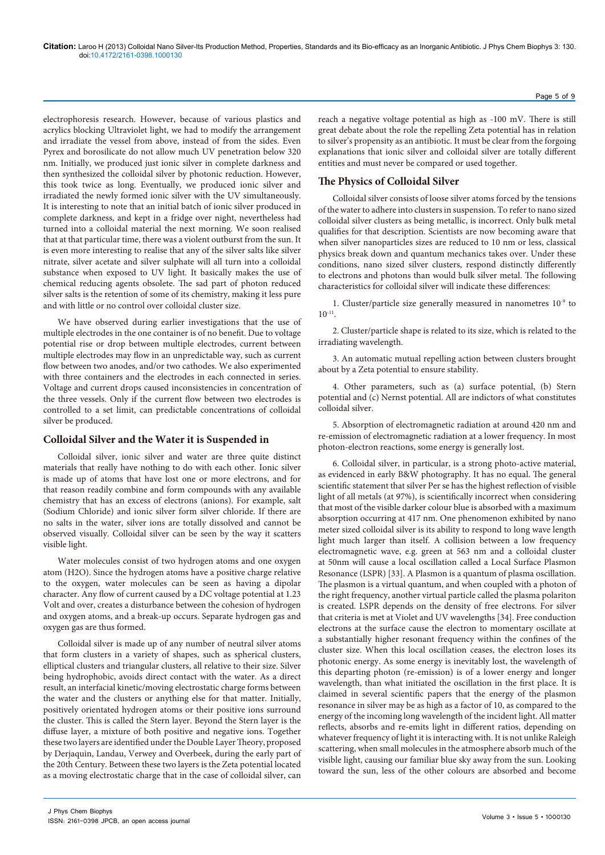electrophoresis research. However, because of various plastics and acrylics blocking Ultraviolet light, we had to modify the arrangement and irradiate the vessel from above, instead of from the sides. Even Pyrex and borosilicate do not allow much UV penetration below 320 nm. Initially, we produced just ionic silver in complete darkness and then synthesized the colloidal silver by photonic reduction. However, this took twice as long. Eventually, we produced ionic silver and irradiated the newly formed ionic silver with the UV simultaneously. It is interesting to note that an initial batch of ionic silver produced in complete darkness, and kept in a fridge over night, nevertheless had turned into a colloidal material the next morning. We soon realised that at that particular time, there was a violent outburst from the sun. It is even more interesting to realise that any of the silver salts like silver nitrate, silver acetate and silver sulphate will all turn into a colloidal substance when exposed to UV light. It basically makes the use of chemical reducing agents obsolete. The sad part of photon reduced silver salts is the retention of some of its chemistry, making it less pure and with little or no control over colloidal cluster size.

We have observed during earlier investigations that the use of multiple electrodes in the one container is of no benefit. Due to voltage potential rise or drop between multiple electrodes, current between multiple electrodes may flow in an unpredictable way, such as current flow between two anodes, and/or two cathodes. We also experimented with three containers and the electrodes in each connected in series. Voltage and current drops caused inconsistencies in concentration of the three vessels. Only if the current flow between two electrodes is controlled to a set limit, can predictable concentrations of colloidal silver be produced.

# **Colloidal Silver and the Water it is Suspended in**

Colloidal silver, ionic silver and water are three quite distinct materials that really have nothing to do with each other. Ionic silver is made up of atoms that have lost one or more electrons, and for that reason readily combine and form compounds with any available chemistry that has an excess of electrons (anions). For example, salt (Sodium Chloride) and ionic silver form silver chloride. If there are no salts in the water, silver ions are totally dissolved and cannot be observed visually. Colloidal silver can be seen by the way it scatters visible light.

Water molecules consist of two hydrogen atoms and one oxygen atom (H2O). Since the hydrogen atoms have a positive charge relative to the oxygen, water molecules can be seen as having a dipolar character. Any flow of current caused by a DC voltage potential at 1.23 Volt and over, creates a disturbance between the cohesion of hydrogen and oxygen atoms, and a break-up occurs. Separate hydrogen gas and oxygen gas are thus formed.

Colloidal silver is made up of any number of neutral silver atoms that form clusters in a variety of shapes, such as spherical clusters, elliptical clusters and triangular clusters, all relative to their size. Silver being hydrophobic, avoids direct contact with the water. As a direct result, an interfacial kinetic/moving electrostatic charge forms between the water and the clusters or anything else for that matter. Initially, positively orientated hydrogen atoms or their positive ions surround the cluster. This is called the Stern layer. Beyond the Stern layer is the diffuse layer, a mixture of both positive and negative ions. Together these two layers are identified under the Double Layer Theory, proposed by Derjaquin, Landau, Verwey and Overbeek, during the early part of the 20th Century. Between these two layers is the Zeta potential located as a moving electrostatic charge that in the case of colloidal silver, can

reach a negative voltage potential as high as -100 mV. There is still great debate about the role the repelling Zeta potential has in relation to silver's propensity as an antibiotic. It must be clear from the forgoing explanations that ionic silver and colloidal silver are totally different entities and must never be compared or used together.

# **The Physics of Colloidal Silver**

Colloidal silver consists of loose silver atoms forced by the tensions of the water to adhere into clusters in suspension. To refer to nano sized colloidal silver clusters as being metallic, is incorrect. Only bulk metal qualifies for that description. Scientists are now becoming aware that when silver nanoparticles sizes are reduced to 10 nm or less, classical physics break down and quantum mechanics takes over. Under these conditions, nano sized silver clusters, respond distinctly differently to electrons and photons than would bulk silver metal. The following characteristics for colloidal silver will indicate these differences:

1. Cluster/particle size generally measured in nanometres 10-9 to  $10^{-11}$ .

2. Cluster/particle shape is related to its size, which is related to the irradiating wavelength.

3. An automatic mutual repelling action between clusters brought about by a Zeta potential to ensure stability.

4. Other parameters, such as (a) surface potential, (b) Stern potential and (c) Nernst potential. All are indictors of what constitutes colloidal silver.

5. Absorption of electromagnetic radiation at around 420 nm and re-emission of electromagnetic radiation at a lower frequency. In most photon-electron reactions, some energy is generally lost.

6. Colloidal silver, in particular, is a strong photo-active material, as evidenced in early B&W photography. It has no equal. The general scientific statement that silver Per se has the highest reflection of visible light of all metals (at 97%), is scientifically incorrect when considering that most of the visible darker colour blue is absorbed with a maximum absorption occurring at 417 nm. One phenomenon exhibited by nano meter sized colloidal silver is its ability to respond to long wave length light much larger than itself. A collision between a low frequency electromagnetic wave, e.g. green at 563 nm and a colloidal cluster at 50nm will cause a local oscillation called a Local Surface Plasmon Resonance (LSPR) [33]. A Plasmon is a quantum of plasma oscillation. The plasmon is a virtual quantum, and when coupled with a photon of the right frequency, another virtual particle called the plasma polariton is created. LSPR depends on the density of free electrons. For silver that criteria is met at Violet and UV wavelengths [34]. Free conduction electrons at the surface cause the electron to momentary oscillate at a substantially higher resonant frequency within the confines of the cluster size. When this local oscillation ceases, the electron loses its photonic energy. As some energy is inevitably lost, the wavelength of this departing photon (re-emission) is of a lower energy and longer wavelength, than what initiated the oscillation in the first place. It is claimed in several scientific papers that the energy of the plasmon resonance in silver may be as high as a factor of 10, as compared to the energy of the incoming long wavelength of the incident light. All matter reflects, absorbs and re-emits light in different ratios, depending on whatever frequency of light it is interacting with. It is not unlike Raleigh scattering, when small molecules in the atmosphere absorb much of the visible light, causing our familiar blue sky away from the sun. Looking toward the sun, less of the other colours are absorbed and become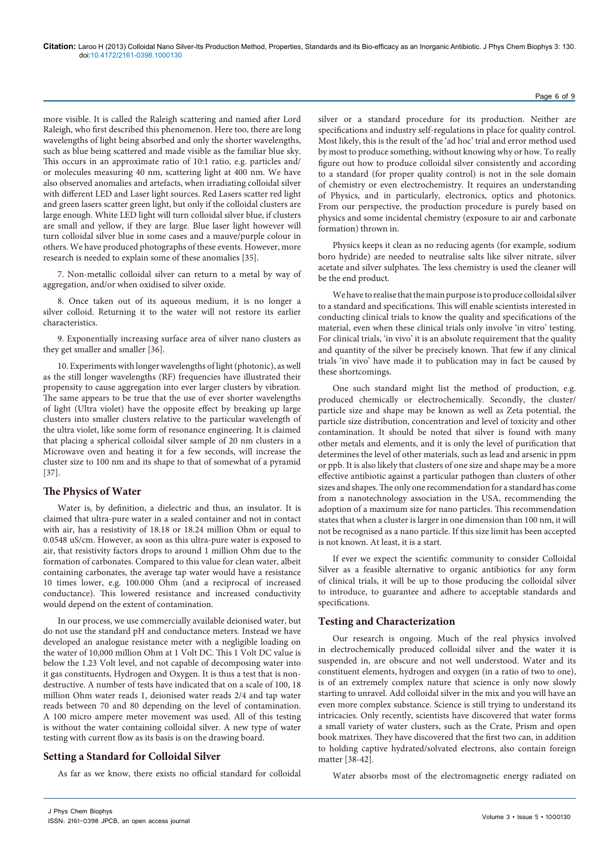more visible. It is called the Raleigh scattering and named after Lord Raleigh, who first described this phenomenon. Here too, there are long wavelengths of light being absorbed and only the shorter wavelengths, such as blue being scattered and made visible as the familiar blue sky. This occurs in an approximate ratio of 10:1 ratio, e.g. particles and/ or molecules measuring 40 nm, scattering light at 400 nm. We have also observed anomalies and artefacts, when irradiating colloidal silver with different LED and Laser light sources. Red Lasers scatter red light and green lasers scatter green light, but only if the colloidal clusters are large enough. White LED light will turn colloidal silver blue, if clusters are small and yellow, if they are large. Blue laser light however will turn colloidal silver blue in some cases and a mauve/purple colour in others. We have produced photographs of these events. However, more research is needed to explain some of these anomalies [35].

7. Non-metallic colloidal silver can return to a metal by way of aggregation, and/or when oxidised to silver oxide.

8. Once taken out of its aqueous medium, it is no longer a silver colloid. Returning it to the water will not restore its earlier characteristics.

9. Exponentially increasing surface area of silver nano clusters as they get smaller and smaller [36].

10. Experiments with longer wavelengths of light (photonic), as well as the still longer wavelengths (RF) frequencies have illustrated their propensity to cause aggregation into ever larger clusters by vibration. The same appears to be true that the use of ever shorter wavelengths of light (Ultra violet) have the opposite effect by breaking up large clusters into smaller clusters relative to the particular wavelength of the ultra violet, like some form of resonance engineering. It is claimed that placing a spherical colloidal silver sample of 20 nm clusters in a Microwave oven and heating it for a few seconds, will increase the cluster size to 100 nm and its shape to that of somewhat of a pyramid [37].

# **The Physics of Water**

Water is, by definition, a dielectric and thus, an insulator. It is claimed that ultra-pure water in a sealed container and not in contact with air, has a resistivity of 18.18 or 18.24 million Ohm or equal to 0.0548 uS/cm. However, as soon as this ultra-pure water is exposed to air, that resistivity factors drops to around 1 million Ohm due to the formation of carbonates. Compared to this value for clean water, albeit containing carbonates, the average tap water would have a resistance 10 times lower, e.g. 100.000 Ohm (and a reciprocal of increased conductance). This lowered resistance and increased conductivity would depend on the extent of contamination.

In our process, we use commercially available deionised water, but do not use the standard pH and conductance meters. Instead we have developed an analogue resistance meter with a negligible loading on the water of 10,000 million Ohm at 1 Volt DC. This 1 Volt DC value is below the 1.23 Volt level, and not capable of decomposing water into it gas constituents, Hydrogen and Oxygen. It is thus a test that is nondestructive. A number of tests have indicated that on a scale of 100, 18 million Ohm water reads 1, deionised water reads 2/4 and tap water reads between 70 and 80 depending on the level of contamination. A 100 micro ampere meter movement was used. All of this testing is without the water containing colloidal silver. A new type of water testing with current flow as its basis is on the drawing board.

# **Setting a Standard for Colloidal Silver**

J Phys Chem Biophys

As far as we know, there exists no official standard for colloidal

silver or a standard procedure for its production. Neither are specifications and industry self-regulations in place for quality control. Most likely, this is the result of the 'ad hoc' trial and error method used by most to produce something, without knowing why or how. To really figure out how to produce colloidal silver consistently and according to a standard (for proper quality control) is not in the sole domain of chemistry or even electrochemistry. It requires an understanding of Physics, and in particularly, electronics, optics and photonics. From our perspective, the production procedure is purely based on physics and some incidental chemistry (exposure to air and carbonate formation) thrown in.

Physics keeps it clean as no reducing agents (for example, sodium boro hydride) are needed to neutralise salts like silver nitrate, silver acetate and silver sulphates. The less chemistry is used the cleaner will be the end product.

We have to realise that the main purpose is to produce colloidal silver to a standard and specifications. This will enable scientists interested in conducting clinical trials to know the quality and specifications of the material, even when these clinical trials only involve 'in vitro' testing. For clinical trials, 'in vivo' it is an absolute requirement that the quality and quantity of the silver be precisely known. That few if any clinical trials 'in vivo' have made it to publication may in fact be caused by these shortcomings.

One such standard might list the method of production, e.g. produced chemically or electrochemically. Secondly, the cluster/ particle size and shape may be known as well as Zeta potential, the particle size distribution, concentration and level of toxicity and other contamination. It should be noted that silver is found with many other metals and elements, and it is only the level of purification that determines the level of other materials, such as lead and arsenic in ppm or ppb. It is also likely that clusters of one size and shape may be a more effective antibiotic against a particular pathogen than clusters of other sizes and shapes. The only one recommendation for a standard has come from a nanotechnology association in the USA, recommending the adoption of a maximum size for nano particles. This recommendation states that when a cluster is larger in one dimension than 100 nm, it will not be recognised as a nano particle. If this size limit has been accepted is not known. At least, it is a start.

If ever we expect the scientific community to consider Colloidal Silver as a feasible alternative to organic antibiotics for any form of clinical trials, it will be up to those producing the colloidal silver to introduce, to guarantee and adhere to acceptable standards and specifications.

## **Testing and Characterization**

Our research is ongoing. Much of the real physics involved in electrochemically produced colloidal silver and the water it is suspended in, are obscure and not well understood. Water and its constituent elements, hydrogen and oxygen (in a ratio of two to one), is of an extremely complex nature that science is only now slowly starting to unravel. Add colloidal silver in the mix and you will have an even more complex substance. Science is still trying to understand its intricacies. Only recently, scientists have discovered that water forms a small variety of water clusters, such as the Crate, Prism and open book matrixes. They have discovered that the first two can, in addition to holding captive hydrated/solvated electrons, also contain foreign matter [38-42].

Water absorbs most of the electromagnetic energy radiated on

#### Page 6 of 9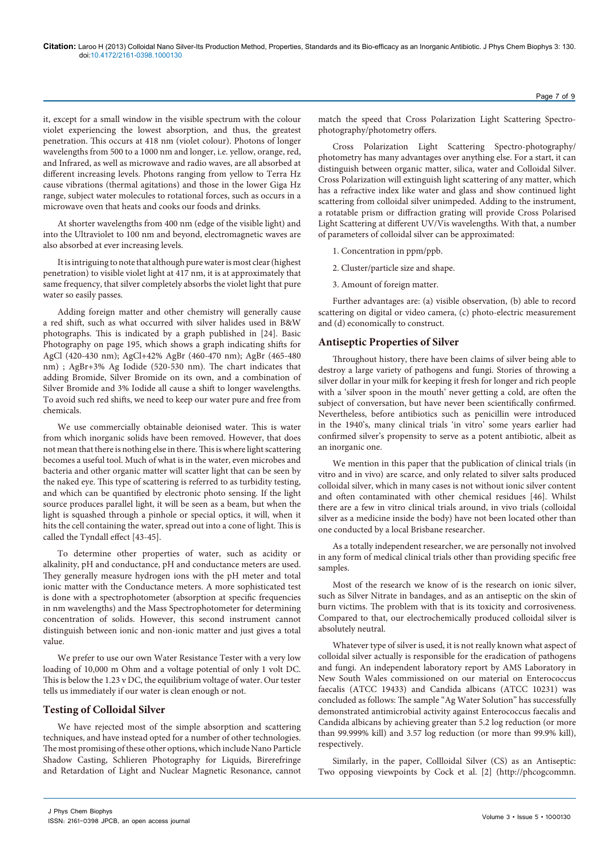it, except for a small window in the visible spectrum with the colour violet experiencing the lowest absorption, and thus, the greatest penetration. This occurs at 418 nm (violet colour). Photons of longer wavelengths from 500 to a 1000 nm and longer, i.e. yellow, orange, red, and Infrared, as well as microwave and radio waves, are all absorbed at different increasing levels. Photons ranging from yellow to Terra Hz cause vibrations (thermal agitations) and those in the lower Giga Hz range, subject water molecules to rotational forces, such as occurs in a microwave oven that heats and cooks our foods and drinks.

At shorter wavelengths from 400 nm (edge of the visible light) and into the Ultraviolet to 100 nm and beyond, electromagnetic waves are also absorbed at ever increasing levels.

It is intriguing to note that although pure water is most clear (highest penetration) to visible violet light at 417 nm, it is at approximately that same frequency, that silver completely absorbs the violet light that pure water so easily passes.

Adding foreign matter and other chemistry will generally cause a red shift, such as what occurred with silver halides used in B&W photographs. This is indicated by a graph published in [24]. Basic Photography on page 195, which shows a graph indicating shifts for AgCl (420-430 nm); AgCl+42% AgBr (460-470 nm); AgBr (465-480 nm) ; AgBr+3% Ag Iodide (520-530 nm). The chart indicates that adding Bromide, Silver Bromide on its own, and a combination of Silver Bromide and 3% Iodide all cause a shift to longer wavelengths. To avoid such red shifts, we need to keep our water pure and free from chemicals.

We use commercially obtainable deionised water. This is water from which inorganic solids have been removed. However, that does not mean that there is nothing else in there. This is where light scattering becomes a useful tool. Much of what is in the water, even microbes and bacteria and other organic matter will scatter light that can be seen by the naked eye. This type of scattering is referred to as turbidity testing, and which can be quantified by electronic photo sensing. If the light source produces parallel light, it will be seen as a beam, but when the light is squashed through a pinhole or special optics, it will, when it hits the cell containing the water, spread out into a cone of light. This is called the Tyndall effect [43-45].

To determine other properties of water, such as acidity or alkalinity, pH and conductance, pH and conductance meters are used. They generally measure hydrogen ions with the pH meter and total ionic matter with the Conductance meters. A more sophisticated test is done with a spectrophotometer (absorption at specific frequencies in nm wavelengths) and the Mass Spectrophotometer for determining concentration of solids. However, this second instrument cannot distinguish between ionic and non-ionic matter and just gives a total value.

We prefer to use our own Water Resistance Tester with a very low loading of 10,000 m Ohm and a voltage potential of only 1 volt DC. This is below the 1.23 v DC, the equilibrium voltage of water. Our tester tells us immediately if our water is clean enough or not.

## **Testing of Colloidal Silver**

We have rejected most of the simple absorption and scattering techniques, and have instead opted for a number of other technologies. The most promising of these other options, which include Nano Particle Shadow Casting, Schlieren Photography for Liquids, Birerefringe and Retardation of Light and Nuclear Magnetic Resonance, cannot

match the speed that Cross Polarization Light Scattering Spectrophotography/photometry offers.

Cross Polarization Light Scattering Spectro-photography/ photometry has many advantages over anything else. For a start, it can distinguish between organic matter, silica, water and Colloidal Silver. Cross Polarization will extinguish light scattering of any matter, which has a refractive index like water and glass and show continued light scattering from colloidal silver unimpeded. Adding to the instrument, a rotatable prism or diffraction grating will provide Cross Polarised Light Scattering at different UV/Vis wavelengths. With that, a number of parameters of colloidal silver can be approximated:

- 1. Concentration in ppm/ppb.
- 2. Cluster/particle size and shape.
- 3. Amount of foreign matter.

Further advantages are: (a) visible observation, (b) able to record scattering on digital or video camera, (c) photo-electric measurement and (d) economically to construct.

## **Antiseptic Properties of Silver**

Throughout history, there have been claims of silver being able to destroy a large variety of pathogens and fungi. Stories of throwing a silver dollar in your milk for keeping it fresh for longer and rich people with a 'silver spoon in the mouth' never getting a cold, are often the subject of conversation, but have never been scientifically confirmed. Nevertheless, before antibiotics such as penicillin were introduced in the 1940's, many clinical trials 'in vitro' some years earlier had confirmed silver's propensity to serve as a potent antibiotic, albeit as an inorganic one.

We mention in this paper that the publication of clinical trials (in vitro and in vivo) are scarce, and only related to silver salts produced colloidal silver, which in many cases is not without ionic silver content and often contaminated with other chemical residues [46]. Whilst there are a few in vitro clinical trials around, in vivo trials (colloidal silver as a medicine inside the body) have not been located other than one conducted by a local Brisbane researcher.

As a totally independent researcher, we are personally not involved in any form of medical clinical trials other than providing specific free samples.

Most of the research we know of is the research on ionic silver, such as Silver Nitrate in bandages, and as an antiseptic on the skin of burn victims. The problem with that is its toxicity and corrosiveness. Compared to that, our electrochemically produced colloidal silver is absolutely neutral.

Whatever type of silver is used, it is not really known what aspect of colloidal silver actually is responsible for the eradication of pathogens and fungi. An independent laboratory report by AMS Laboratory in New South Wales commissioned on our material on Enterococcus faecalis (ATCC 19433) and Candida albicans (ATCC 10231) was concluded as follows: The sample "Ag Water Solution" has successfully demonstrated antimicrobial activity against Enterococcus faecalis and Candida albicans by achieving greater than 5.2 log reduction (or more than 99.999% kill) and 3.57 log reduction (or more than 99.9% kill), respectively.

Similarly, in the paper, Collloidal Silver (CS) as an Antiseptic: Two opposing viewpoints by Cock et al. [2] (http://phcogcommn.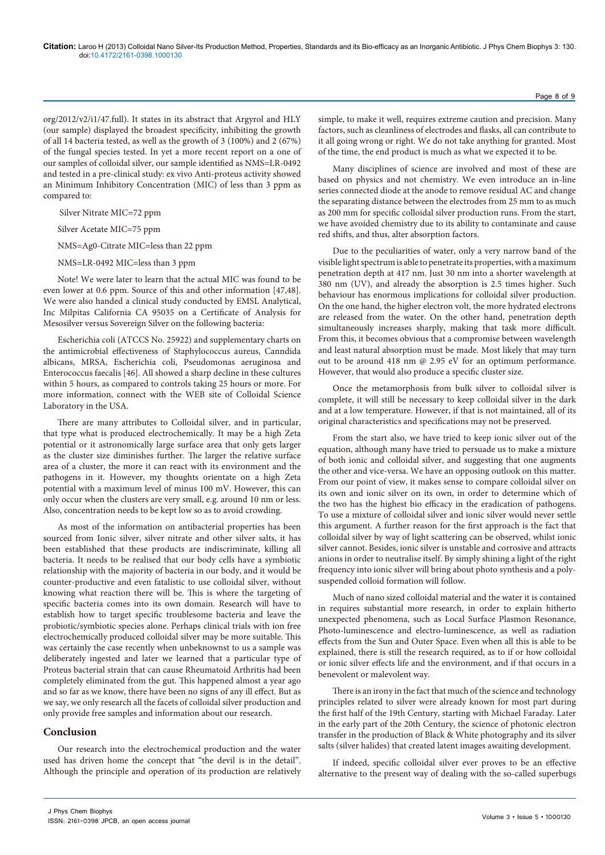org/2012/v2/i1/47.full). It states in its abstract that Argyrol and HLY (our sample) displayed the broadest specificity, inhibiting the growth of all 14 bacteria tested, as well as the growth of 3 (100%) and 2 (67%) of the fungal species tested. In yet a more recent report on a one of our samples of colloidal silver, our sample identified as NMS=LR-0492 and tested in a pre-clinical study: ex vivo Anti-proteus activity showed an Minimum Inhibitory Concentration (MIC) of less than 3 ppm as compared to:

Silver Nitrate MIC=72 ppm

- Silver Acetate MIC=75 ppm
- NMS=Ag0-Citrate MIC=less than 22 ppm
- NMS=LR-0492 MIC=less than 3 ppm

Note! We were later to learn that the actual MIC was found to be even lower at 0.6 ppm. Source of this and other information [47,48]. We were also handed a clinical study conducted by EMSL Analytical, Inc Milpitas California CA 95035 on a Certificate of Analysis for Mesosilver versus Sovereign Silver on the following bacteria:

Escherichia coli (ATCCS No. 25922) and supplementary charts on the antimicrobial effectiveness of Staphylococcus aureus, Canndida albicans, MRSA, Escherichia coli, Pseudomonas aeruginosa and Enterococcus faecalis [46]. All showed a sharp decline in these cultures within 5 hours, as compared to controls taking 25 hours or more. For more information, connect with the WEB site of Colloidal Science Laboratory in the USA.

There are many attributes to Colloidal silver, and in particular, that type what is produced electrochemically. It may be a high Zeta potential or it astronomically large surface area that only gets larger as the cluster size diminishes further. The larger the relative surface area of a cluster, the more it can react with its environment and the pathogens in it. However, my thoughts orientate on a high Zeta potential with a maximum level of minus 100 mV. However, this can only occur when the clusters are very small, e.g. around 10 nm or less. Also, concentration needs to be kept low so as to avoid crowding.

As most of the information on antibacterial properties has been sourced from Ionic silver, silver nitrate and other silver salts, it has been established that these products are indiscriminate, killing all bacteria. It needs to be realised that our body cells have a symbiotic relationship with the majority of bacteria in our body, and it would be counter-productive and even fatalistic to use colloidal silver, without knowing what reaction there will be. This is where the targeting of specific bacteria comes into its own domain. Research will have to establish how to target specific troublesome bacteria and leave the probiotic/symbiotic species alone. Perhaps clinical trials with ion free electrochemically produced colloidal silver may be more suitable. This was certainly the case recently when unbeknownst to us a sample was deliberately ingested and later we learned that a particular type of Proteus bacterial strain that can cause Rheumatoid Arthritis had been completely eliminated from the gut. This happened almost a year ago and so far as we know, there have been no signs of any ill effect. But as we say, we only research all the facets of colloidal silver production and only provide free samples and information about our research.

## **Conclusion**

Our research into the electrochemical production and the water used has driven home the concept that "the devil is in the detail". Although the principle and operation of its production are relatively

simple, to make it well, requires extreme caution and precision. Many factors, such as cleanliness of electrodes and flasks, all can contribute to it all going wrong or right. We do not take anything for granted. Most of the time, the end product is much as what we expected it to be.

Page 8 of 9

Many disciplines of science are involved and most of these are based on physics and not chemistry. We even introduce an in-line series connected diode at the anode to remove residual AC and change the separating distance between the electrodes from 25 mm to as much as 200 mm for specific colloidal silver production runs. From the start, we have avoided chemistry due to its ability to contaminate and cause red shifts, and thus, alter absorption factors.

Due to the peculiarities of water, only a very narrow band of the visible light spectrum is able to penetrate its properties, with a maximum penetration depth at 417 nm. Just 30 nm into a shorter wavelength at 380 nm (UV), and already the absorption is 2.5 times higher. Such behaviour has enormous implications for colloidal silver production. On the one hand, the higher electron volt, the more hydrated electrons are released from the water. On the other hand, penetration depth simultaneously increases sharply, making that task more difficult. From this, it becomes obvious that a compromise between wavelength and least natural absorption must be made. Most likely that may turn out to be around 418 nm @ 2.95 eV for an optimum performance. However, that would also produce a specific cluster size.

Once the metamorphosis from bulk silver to colloidal silver is complete, it will still be necessary to keep colloidal silver in the dark and at a low temperature. However, if that is not maintained, all of its original characteristics and specifications may not be preserved.

From the start also, we have tried to keep ionic silver out of the equation, although many have tried to persuade us to make a mixture of both ionic and colloidal silver, and suggesting that one augments the other and vice-versa. We have an opposing outlook on this matter. From our point of view, it makes sense to compare colloidal silver on its own and ionic silver on its own, in order to determine which of the two has the highest bio efficacy in the eradication of pathogens. To use a mixture of colloidal silver and ionic silver would never settle this argument. A further reason for the first approach is the fact that colloidal silver by way of light scattering can be observed, whilst ionic silver cannot. Besides, ionic silver is unstable and corrosive and attracts anions in order to neutralise itself. By simply shining a light of the right frequency into ionic silver will bring about photo synthesis and a polysuspended colloid formation will follow.

Much of nano sized colloidal material and the water it is contained in requires substantial more research, in order to explain hitherto unexpected phenomena, such as Local Surface Plasmon Resonance, Photo-luminescence and electro-luminescence, as well as radiation effects from the Sun and Outer Space. Even when all this is able to be explained, there is still the research required, as to if or how colloidal or ionic silver effects life and the environment, and if that occurs in a benevolent or malevolent way.

There is an irony in the fact that much of the science and technology principles related to silver were already known for most part during the first half of the 19th Century, starting with Michael Faraday. Later in the early part of the 20th Century, the science of photonic electron transfer in the production of Black & White photography and its silver salts (silver halides) that created latent images awaiting development.

If indeed, specific colloidal silver ever proves to be an effective alternative to the present way of dealing with the so-called superbugs